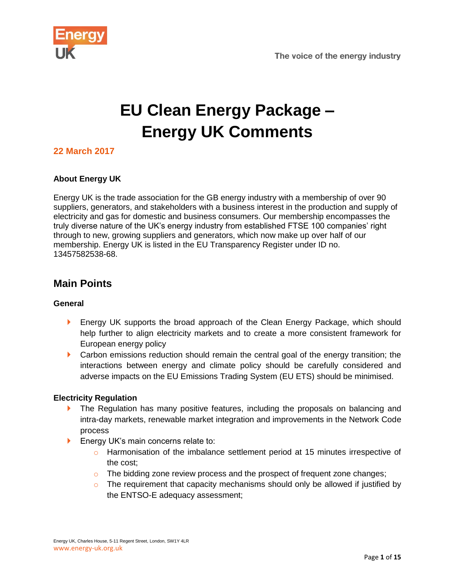

# **EU Clean Energy Package – Energy UK Comments**

# **22 March 2017**

#### **About Energy UK**

Energy UK is the trade association for the GB energy industry with a membership of over 90 suppliers, generators, and stakeholders with a business interest in the production and supply of electricity and gas for domestic and business consumers. Our membership encompasses the truly diverse nature of the UK's energy industry from established FTSE 100 companies' right through to new, growing suppliers and generators, which now make up over half of our membership. Energy UK is listed in the EU Transparency Register under ID no. 13457582538-68.

# **Main Points**

#### **General**

- **Energy UK supports the broad approach of the Clean Energy Package, which should** help further to align electricity markets and to create a more consistent framework for European energy policy
- **Carbon emissions reduction should remain the central goal of the energy transition; the** interactions between energy and climate policy should be carefully considered and adverse impacts on the EU Emissions Trading System (EU ETS) should be minimised.

#### **Electricity Regulation**

- **The Regulation has many positive features, including the proposals on balancing and** intra-day markets, renewable market integration and improvements in the Network Code process
- **Energy UK's main concerns relate to:** 
	- $\circ$  Harmonisation of the imbalance settlement period at 15 minutes irrespective of the cost;
	- $\circ$  The bidding zone review process and the prospect of frequent zone changes;
	- $\circ$  The requirement that capacity mechanisms should only be allowed if justified by the ENTSO-E adequacy assessment;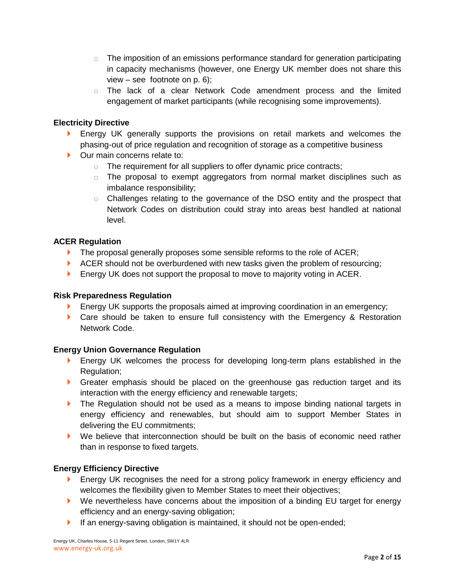- $\circ$  The imposition of an emissions performance standard for generation participating in capacity mechanisms (however, one Energy UK member does not share this view – see footnote on p. 6);
- $\circ$  The lack of a clear Network Code amendment process and the limited engagement of market participants (while recognising some improvements).

#### **Electricity Directive**

- **Energy UK generally supports the provisions on retail markets and welcomes the** phasing-out of price regulation and recognition of storage as a competitive business
- **Dur main concerns relate to:** 
	- o The requirement for all suppliers to offer dynamic price contracts;
	- $\circ$  The proposal to exempt aggregators from normal market disciplines such as imbalance responsibility;
	- $\circ$  Challenges relating to the governance of the DSO entity and the prospect that Network Codes on distribution could stray into areas best handled at national level.

#### **ACER Regulation**

- $\blacktriangleright$  The proposal generally proposes some sensible reforms to the role of ACER;
- $\blacktriangleright$  ACER should not be overburdened with new tasks given the problem of resourcing;
- **Energy UK does not support the proposal to move to majority voting in ACER.**

#### **Risk Preparedness Regulation**

- **Energy UK supports the proposals aimed at improving coordination in an emergency;**
- **Care should be taken to ensure full consistency with the Emergency & Restoration** Network Code.

#### **Energy Union Governance Regulation**

- **Energy UK welcomes the process for developing long-term plans established in the** Regulation;
- Greater emphasis should be placed on the greenhouse gas reduction target and its interaction with the energy efficiency and renewable targets;
- **The Regulation should not be used as a means to impose binding national targets in** energy efficiency and renewables, but should aim to support Member States in delivering the EU commitments;
- We believe that interconnection should be built on the basis of economic need rather than in response to fixed targets.

#### **Energy Efficiency Directive**

- **Energy UK recognises the need for a strong policy framework in energy efficiency and** welcomes the flexibility given to Member States to meet their objectives;
- ▶ We nevertheless have concerns about the imposition of a binding EU target for energy efficiency and an energy-saving obligation;
- If an energy-saving obligation is maintained, it should not be open-ended;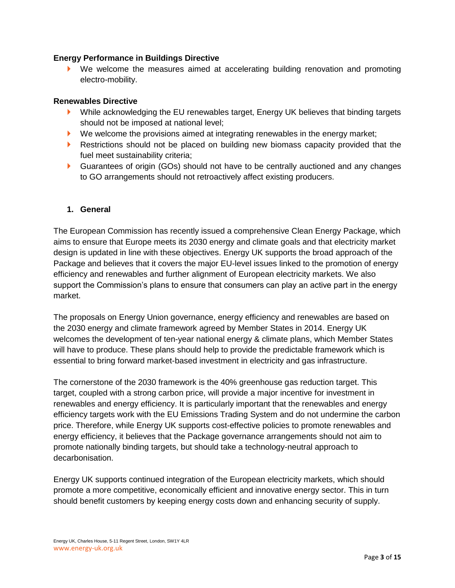#### **Energy Performance in Buildings Directive**

 We welcome the measures aimed at accelerating building renovation and promoting electro-mobility.

#### **Renewables Directive**

- ▶ While acknowledging the EU renewables target, Energy UK believes that binding targets should not be imposed at national level;
- $\blacktriangleright$  We welcome the provisions aimed at integrating renewables in the energy market;
- Restrictions should not be placed on building new biomass capacity provided that the fuel meet sustainability criteria;
- Guarantees of origin (GOs) should not have to be centrally auctioned and any changes to GO arrangements should not retroactively affect existing producers.

#### **1. General**

The European Commission has recently issued a comprehensive Clean Energy Package, which aims to ensure that Europe meets its 2030 energy and climate goals and that electricity market design is updated in line with these objectives. Energy UK supports the broad approach of the Package and believes that it covers the major EU-level issues linked to the promotion of energy efficiency and renewables and further alignment of European electricity markets. We also support the Commission's plans to ensure that consumers can play an active part in the energy market.

The proposals on Energy Union governance, energy efficiency and renewables are based on the 2030 energy and climate framework agreed by Member States in 2014. Energy UK welcomes the development of ten-year national energy & climate plans, which Member States will have to produce. These plans should help to provide the predictable framework which is essential to bring forward market-based investment in electricity and gas infrastructure.

The cornerstone of the 2030 framework is the 40% greenhouse gas reduction target. This target, coupled with a strong carbon price, will provide a major incentive for investment in renewables and energy efficiency. It is particularly important that the renewables and energy efficiency targets work with the EU Emissions Trading System and do not undermine the carbon price. Therefore, while Energy UK supports cost-effective policies to promote renewables and energy efficiency, it believes that the Package governance arrangements should not aim to promote nationally binding targets, but should take a technology-neutral approach to decarbonisation.

Energy UK supports continued integration of the European electricity markets, which should promote a more competitive, economically efficient and innovative energy sector. This in turn should benefit customers by keeping energy costs down and enhancing security of supply.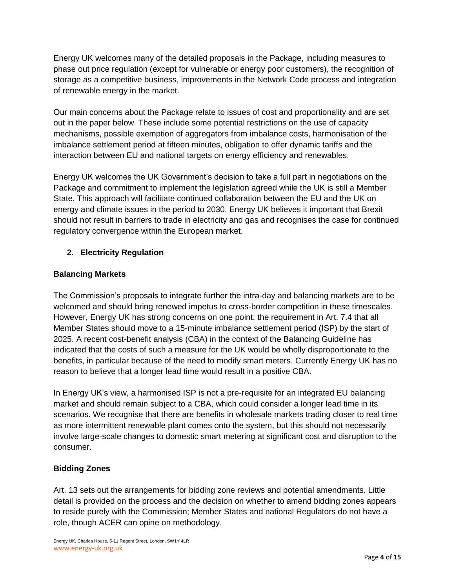Energy UK welcomes many of the detailed proposals in the Package, including measures to phase out price regulation (except for vulnerable or energy poor customers), the recognition of storage as a competitive business, improvements in the Network Code process and integration of renewable energy in the market.

Our main concerns about the Package relate to issues of cost and proportionality and are set out in the paper below. These include some potential restrictions on the use of capacity mechanisms, possible exemption of aggregators from imbalance costs, harmonisation of the imbalance settlement period at fifteen minutes, obligation to offer dynamic tariffs and the interaction between EU and national targets on energy efficiency and renewables.

Energy UK welcomes the UK Government's decision to take a full part in negotiations on the Package and commitment to implement the legislation agreed while the UK is still a Member State. This approach will facilitate continued collaboration between the EU and the UK on energy and climate issues in the period to 2030. Energy UK believes it important that Brexit should not result in barriers to trade in electricity and gas and recognises the case for continued regulatory convergence within the European market.

# **2. Electricity Regulation**

# **Balancing Markets**

The Commission's proposals to integrate further the intra-day and balancing markets are to be welcomed and should bring renewed impetus to cross-border competition in these timescales. However, Energy UK has strong concerns on one point: the requirement in Art. 7.4 that all Member States should move to a 15-minute imbalance settlement period (ISP) by the start of 2025. A recent cost-benefit analysis (CBA) in the context of the Balancing Guideline has indicated that the costs of such a measure for the UK would be wholly disproportionate to the benefits, in particular because of the need to modify smart meters. Currently Energy UK has no reason to believe that a longer lead time would result in a positive CBA.

In Energy UK's view, a harmonised ISP is not a pre-requisite for an integrated EU balancing market and should remain subject to a CBA, which could consider a longer lead time in its scenarios. We recognise that there are benefits in wholesale markets trading closer to real time as more intermittent renewable plant comes onto the system, but this should not necessarily involve large-scale changes to domestic smart metering at significant cost and disruption to the consumer.

# **Bidding Zones**

Art. 13 sets out the arrangements for bidding zone reviews and potential amendments. Little detail is provided on the process and the decision on whether to amend bidding zones appears to reside purely with the Commission; Member States and national Regulators do not have a role, though ACER can opine on methodology.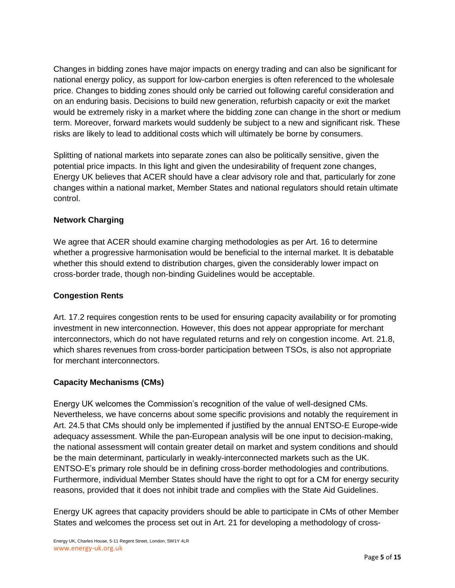Changes in bidding zones have major impacts on energy trading and can also be significant for national energy policy, as support for low-carbon energies is often referenced to the wholesale price. Changes to bidding zones should only be carried out following careful consideration and on an enduring basis. Decisions to build new generation, refurbish capacity or exit the market would be extremely risky in a market where the bidding zone can change in the short or medium term. Moreover, forward markets would suddenly be subject to a new and significant risk. These risks are likely to lead to additional costs which will ultimately be borne by consumers.

Splitting of national markets into separate zones can also be politically sensitive, given the potential price impacts. In this light and given the undesirability of frequent zone changes, Energy UK believes that ACER should have a clear advisory role and that, particularly for zone changes within a national market, Member States and national regulators should retain ultimate control.

# **Network Charging**

We agree that ACER should examine charging methodologies as per Art. 16 to determine whether a progressive harmonisation would be beneficial to the internal market. It is debatable whether this should extend to distribution charges, given the considerably lower impact on cross-border trade, though non-binding Guidelines would be acceptable.

# **Congestion Rents**

Art. 17.2 requires congestion rents to be used for ensuring capacity availability or for promoting investment in new interconnection. However, this does not appear appropriate for merchant interconnectors, which do not have regulated returns and rely on congestion income. Art. 21.8, which shares revenues from cross-border participation between TSOs, is also not appropriate for merchant interconnectors.

# **Capacity Mechanisms (CMs)**

Energy UK welcomes the Commission's recognition of the value of well-designed CMs. Nevertheless, we have concerns about some specific provisions and notably the requirement in Art. 24.5 that CMs should only be implemented if justified by the annual ENTSO-E Europe-wide adequacy assessment. While the pan-European analysis will be one input to decision-making, the national assessment will contain greater detail on market and system conditions and should be the main determinant, particularly in weakly-interconnected markets such as the UK. ENTSO-E's primary role should be in defining cross-border methodologies and contributions. Furthermore, individual Member States should have the right to opt for a CM for energy security reasons, provided that it does not inhibit trade and complies with the State Aid Guidelines.

Energy UK agrees that capacity providers should be able to participate in CMs of other Member States and welcomes the process set out in Art. 21 for developing a methodology of cross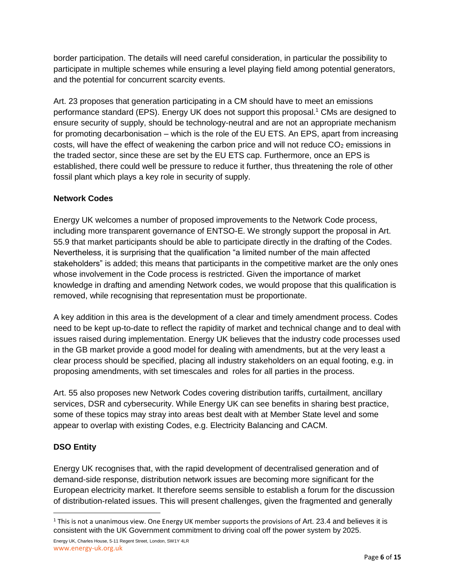border participation. The details will need careful consideration, in particular the possibility to participate in multiple schemes while ensuring a level playing field among potential generators, and the potential for concurrent scarcity events.

Art. 23 proposes that generation participating in a CM should have to meet an emissions performance standard (EPS). Energy UK does not support this proposal.<sup>1</sup> CMs are designed to ensure security of supply, should be technology-neutral and are not an appropriate mechanism for promoting decarbonisation – which is the role of the EU ETS. An EPS, apart from increasing costs, will have the effect of weakening the carbon price and will not reduce  $CO<sub>2</sub>$  emissions in the traded sector, since these are set by the EU ETS cap. Furthermore, once an EPS is established, there could well be pressure to reduce it further, thus threatening the role of other fossil plant which plays a key role in security of supply.

# **Network Codes**

Energy UK welcomes a number of proposed improvements to the Network Code process, including more transparent governance of ENTSO-E. We strongly support the proposal in Art. 55.9 that market participants should be able to participate directly in the drafting of the Codes. Nevertheless, it is surprising that the qualification "a limited number of the main affected stakeholders" is added; this means that participants in the competitive market are the only ones whose involvement in the Code process is restricted. Given the importance of market knowledge in drafting and amending Network codes, we would propose that this qualification is removed, while recognising that representation must be proportionate.

A key addition in this area is the development of a clear and timely amendment process. Codes need to be kept up-to-date to reflect the rapidity of market and technical change and to deal with issues raised during implementation. Energy UK believes that the industry code processes used in the GB market provide a good model for dealing with amendments, but at the very least a clear process should be specified, placing all industry stakeholders on an equal footing, e.g. in proposing amendments, with set timescales and roles for all parties in the process.

Art. 55 also proposes new Network Codes covering distribution tariffs, curtailment, ancillary services, DSR and cybersecurity. While Energy UK can see benefits in sharing best practice, some of these topics may stray into areas best dealt with at Member State level and some appear to overlap with existing Codes, e.g. Electricity Balancing and CACM.

# **DSO Entity**

l

Energy UK recognises that, with the rapid development of decentralised generation and of demand-side response, distribution network issues are becoming more significant for the European electricity market. It therefore seems sensible to establish a forum for the discussion of distribution-related issues. This will present challenges, given the fragmented and generally

 $1$  This is not a unanimous view. One Energy UK member supports the provisions of Art. 23.4 and believes it is consistent with the UK Government commitment to driving coal off the power system by 2025.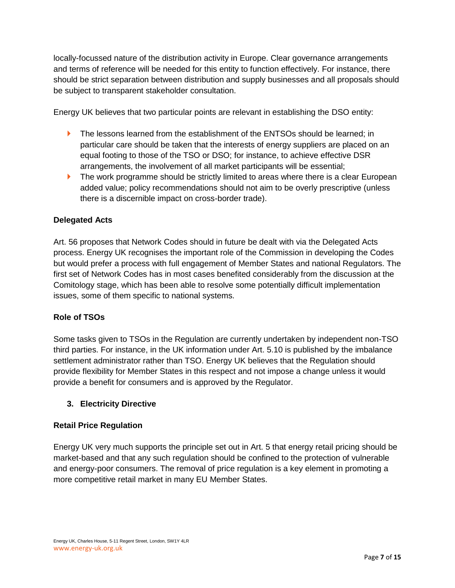locally-focussed nature of the distribution activity in Europe. Clear governance arrangements and terms of reference will be needed for this entity to function effectively. For instance, there should be strict separation between distribution and supply businesses and all proposals should be subject to transparent stakeholder consultation.

Energy UK believes that two particular points are relevant in establishing the DSO entity:

- **The lessons learned from the establishment of the ENTSOs should be learned: in** particular care should be taken that the interests of energy suppliers are placed on an equal footing to those of the TSO or DSO; for instance, to achieve effective DSR arrangements, the involvement of all market participants will be essential;
- $\blacktriangleright$  The work programme should be strictly limited to areas where there is a clear European added value; policy recommendations should not aim to be overly prescriptive (unless there is a discernible impact on cross-border trade).

# **Delegated Acts**

Art. 56 proposes that Network Codes should in future be dealt with via the Delegated Acts process. Energy UK recognises the important role of the Commission in developing the Codes but would prefer a process with full engagement of Member States and national Regulators. The first set of Network Codes has in most cases benefited considerably from the discussion at the Comitology stage, which has been able to resolve some potentially difficult implementation issues, some of them specific to national systems.

#### **Role of TSOs**

Some tasks given to TSOs in the Regulation are currently undertaken by independent non-TSO third parties. For instance, in the UK information under Art. 5.10 is published by the imbalance settlement administrator rather than TSO. Energy UK believes that the Regulation should provide flexibility for Member States in this respect and not impose a change unless it would provide a benefit for consumers and is approved by the Regulator.

#### **3. Electricity Directive**

#### **Retail Price Regulation**

Energy UK very much supports the principle set out in Art. 5 that energy retail pricing should be market-based and that any such regulation should be confined to the protection of vulnerable and energy-poor consumers. The removal of price regulation is a key element in promoting a more competitive retail market in many EU Member States.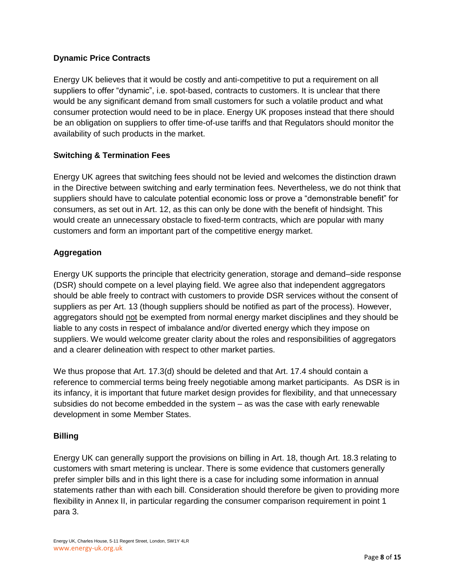### **Dynamic Price Contracts**

Energy UK believes that it would be costly and anti-competitive to put a requirement on all suppliers to offer "dynamic", i.e. spot-based, contracts to customers. It is unclear that there would be any significant demand from small customers for such a volatile product and what consumer protection would need to be in place. Energy UK proposes instead that there should be an obligation on suppliers to offer time-of-use tariffs and that Regulators should monitor the availability of such products in the market.

#### **Switching & Termination Fees**

Energy UK agrees that switching fees should not be levied and welcomes the distinction drawn in the Directive between switching and early termination fees. Nevertheless, we do not think that suppliers should have to calculate potential economic loss or prove a "demonstrable benefit" for consumers, as set out in Art. 12, as this can only be done with the benefit of hindsight. This would create an unnecessary obstacle to fixed-term contracts, which are popular with many customers and form an important part of the competitive energy market.

#### **Aggregation**

Energy UK supports the principle that electricity generation, storage and demand–side response (DSR) should compete on a level playing field. We agree also that independent aggregators should be able freely to contract with customers to provide DSR services without the consent of suppliers as per Art. 13 (though suppliers should be notified as part of the process). However, aggregators should not be exempted from normal energy market disciplines and they should be liable to any costs in respect of imbalance and/or diverted energy which they impose on suppliers. We would welcome greater clarity about the roles and responsibilities of aggregators and a clearer delineation with respect to other market parties.

We thus propose that Art. 17.3(d) should be deleted and that Art. 17.4 should contain a reference to commercial terms being freely negotiable among market participants. As DSR is in its infancy, it is important that future market design provides for flexibility, and that unnecessary subsidies do not become embedded in the system – as was the case with early renewable development in some Member States.

#### **Billing**

Energy UK can generally support the provisions on billing in Art. 18, though Art. 18.3 relating to customers with smart metering is unclear. There is some evidence that customers generally prefer simpler bills and in this light there is a case for including some information in annual statements rather than with each bill. Consideration should therefore be given to providing more flexibility in Annex II, in particular regarding the consumer comparison requirement in point 1 para 3.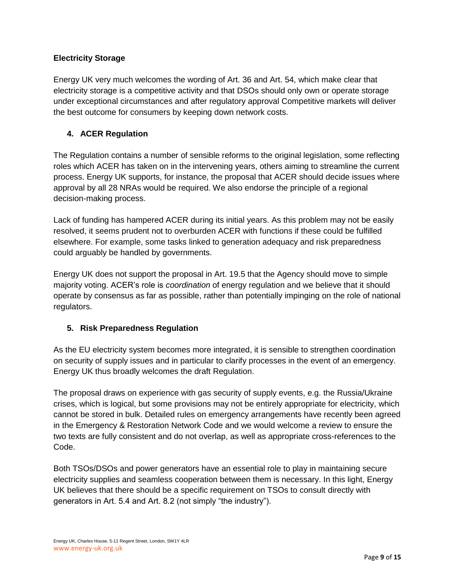# **Electricity Storage**

Energy UK very much welcomes the wording of Art. 36 and Art. 54, which make clear that electricity storage is a competitive activity and that DSOs should only own or operate storage under exceptional circumstances and after regulatory approval Competitive markets will deliver the best outcome for consumers by keeping down network costs.

# **4. ACER Regulation**

The Regulation contains a number of sensible reforms to the original legislation, some reflecting roles which ACER has taken on in the intervening years, others aiming to streamline the current process. Energy UK supports, for instance, the proposal that ACER should decide issues where approval by all 28 NRAs would be required. We also endorse the principle of a regional decision-making process.

Lack of funding has hampered ACER during its initial years. As this problem may not be easily resolved, it seems prudent not to overburden ACER with functions if these could be fulfilled elsewhere. For example, some tasks linked to generation adequacy and risk preparedness could arguably be handled by governments.

Energy UK does not support the proposal in Art. 19.5 that the Agency should move to simple majority voting. ACER's role is *coordination* of energy regulation and we believe that it should operate by consensus as far as possible, rather than potentially impinging on the role of national regulators.

# **5. Risk Preparedness Regulation**

As the EU electricity system becomes more integrated, it is sensible to strengthen coordination on security of supply issues and in particular to clarify processes in the event of an emergency. Energy UK thus broadly welcomes the draft Regulation.

The proposal draws on experience with gas security of supply events, e.g. the Russia/Ukraine crises, which is logical, but some provisions may not be entirely appropriate for electricity, which cannot be stored in bulk. Detailed rules on emergency arrangements have recently been agreed in the Emergency & Restoration Network Code and we would welcome a review to ensure the two texts are fully consistent and do not overlap, as well as appropriate cross-references to the Code.

Both TSOs/DSOs and power generators have an essential role to play in maintaining secure electricity supplies and seamless cooperation between them is necessary. In this light, Energy UK believes that there should be a specific requirement on TSOs to consult directly with generators in Art. 5.4 and Art. 8.2 (not simply "the industry").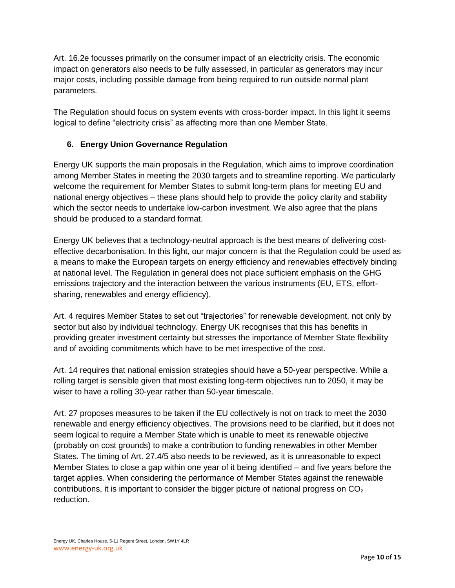Art. 16.2e focusses primarily on the consumer impact of an electricity crisis. The economic impact on generators also needs to be fully assessed, in particular as generators may incur major costs, including possible damage from being required to run outside normal plant parameters.

The Regulation should focus on system events with cross-border impact. In this light it seems logical to define "electricity crisis" as affecting more than one Member State.

# **6. Energy Union Governance Regulation**

Energy UK supports the main proposals in the Regulation, which aims to improve coordination among Member States in meeting the 2030 targets and to streamline reporting. We particularly welcome the requirement for Member States to submit long-term plans for meeting EU and national energy objectives – these plans should help to provide the policy clarity and stability which the sector needs to undertake low-carbon investment. We also agree that the plans should be produced to a standard format.

Energy UK believes that a technology-neutral approach is the best means of delivering costeffective decarbonisation. In this light, our major concern is that the Regulation could be used as a means to make the European targets on energy efficiency and renewables effectively binding at national level. The Regulation in general does not place sufficient emphasis on the GHG emissions trajectory and the interaction between the various instruments (EU, ETS, effortsharing, renewables and energy efficiency).

Art. 4 requires Member States to set out "trajectories" for renewable development, not only by sector but also by individual technology. Energy UK recognises that this has benefits in providing greater investment certainty but stresses the importance of Member State flexibility and of avoiding commitments which have to be met irrespective of the cost.

Art. 14 requires that national emission strategies should have a 50-year perspective. While a rolling target is sensible given that most existing long-term objectives run to 2050, it may be wiser to have a rolling 30-year rather than 50-year timescale.

Art. 27 proposes measures to be taken if the EU collectively is not on track to meet the 2030 renewable and energy efficiency objectives. The provisions need to be clarified, but it does not seem logical to require a Member State which is unable to meet its renewable objective (probably on cost grounds) to make a contribution to funding renewables in other Member States. The timing of Art. 27.4/5 also needs to be reviewed, as it is unreasonable to expect Member States to close a gap within one year of it being identified – and five years before the target applies. When considering the performance of Member States against the renewable contributions, it is important to consider the bigger picture of national progress on  $CO<sub>2</sub>$ reduction.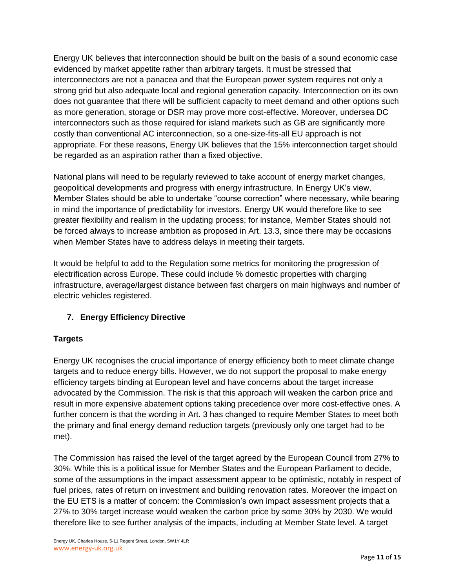Energy UK believes that interconnection should be built on the basis of a sound economic case evidenced by market appetite rather than arbitrary targets. It must be stressed that interconnectors are not a panacea and that the European power system requires not only a strong grid but also adequate local and regional generation capacity. Interconnection on its own does not guarantee that there will be sufficient capacity to meet demand and other options such as more generation, storage or DSR may prove more cost-effective. Moreover, undersea DC interconnectors such as those required for island markets such as GB are significantly more costly than conventional AC interconnection, so a one-size-fits-all EU approach is not appropriate. For these reasons, Energy UK believes that the 15% interconnection target should be regarded as an aspiration rather than a fixed objective.

National plans will need to be regularly reviewed to take account of energy market changes, geopolitical developments and progress with energy infrastructure. In Energy UK's view, Member States should be able to undertake "course correction" where necessary, while bearing in mind the importance of predictability for investors. Energy UK would therefore like to see greater flexibility and realism in the updating process; for instance, Member States should not be forced always to increase ambition as proposed in Art. 13.3, since there may be occasions when Member States have to address delays in meeting their targets.

It would be helpful to add to the Regulation some metrics for monitoring the progression of electrification across Europe. These could include % domestic properties with charging infrastructure, average/largest distance between fast chargers on main highways and number of electric vehicles registered.

# **7. Energy Efficiency Directive**

# **Targets**

Energy UK recognises the crucial importance of energy efficiency both to meet climate change targets and to reduce energy bills. However, we do not support the proposal to make energy efficiency targets binding at European level and have concerns about the target increase advocated by the Commission. The risk is that this approach will weaken the carbon price and result in more expensive abatement options taking precedence over more cost-effective ones. A further concern is that the wording in Art. 3 has changed to require Member States to meet both the primary and final energy demand reduction targets (previously only one target had to be met).

The Commission has raised the level of the target agreed by the European Council from 27% to 30%. While this is a political issue for Member States and the European Parliament to decide, some of the assumptions in the impact assessment appear to be optimistic, notably in respect of fuel prices, rates of return on investment and building renovation rates. Moreover the impact on the EU ETS is a matter of concern: the Commission's own impact assessment projects that a 27% to 30% target increase would weaken the carbon price by some 30% by 2030. We would therefore like to see further analysis of the impacts, including at Member State level. A target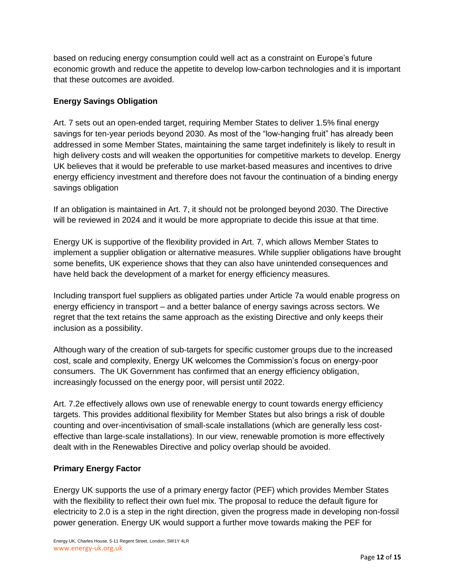based on reducing energy consumption could well act as a constraint on Europe's future economic growth and reduce the appetite to develop low-carbon technologies and it is important that these outcomes are avoided.

# **Energy Savings Obligation**

Art. 7 sets out an open-ended target, requiring Member States to deliver 1.5% final energy savings for ten-year periods beyond 2030. As most of the "low-hanging fruit" has already been addressed in some Member States, maintaining the same target indefinitely is likely to result in high delivery costs and will weaken the opportunities for competitive markets to develop. Energy UK believes that it would be preferable to use market-based measures and incentives to drive energy efficiency investment and therefore does not favour the continuation of a binding energy savings obligation

If an obligation is maintained in Art. 7, it should not be prolonged beyond 2030. The Directive will be reviewed in 2024 and it would be more appropriate to decide this issue at that time.

Energy UK is supportive of the flexibility provided in Art. 7, which allows Member States to implement a supplier obligation or alternative measures. While supplier obligations have brought some benefits, UK experience shows that they can also have unintended consequences and have held back the development of a market for energy efficiency measures.

Including transport fuel suppliers as obligated parties under Article 7a would enable progress on energy efficiency in transport – and a better balance of energy savings across sectors. We regret that the text retains the same approach as the existing Directive and only keeps their inclusion as a possibility.

Although wary of the creation of sub-targets for specific customer groups due to the increased cost, scale and complexity, Energy UK welcomes the Commission's focus on energy-poor consumers. The UK Government has confirmed that an energy efficiency obligation, increasingly focussed on the energy poor, will persist until 2022.

Art. 7.2e effectively allows own use of renewable energy to count towards energy efficiency targets. This provides additional flexibility for Member States but also brings a risk of double counting and over-incentivisation of small-scale installations (which are generally less costeffective than large-scale installations). In our view, renewable promotion is more effectively dealt with in the Renewables Directive and policy overlap should be avoided.

#### **Primary Energy Factor**

Energy UK supports the use of a primary energy factor (PEF) which provides Member States with the flexibility to reflect their own fuel mix. The proposal to reduce the default figure for electricity to 2.0 is a step in the right direction, given the progress made in developing non-fossil power generation. Energy UK would support a further move towards making the PEF for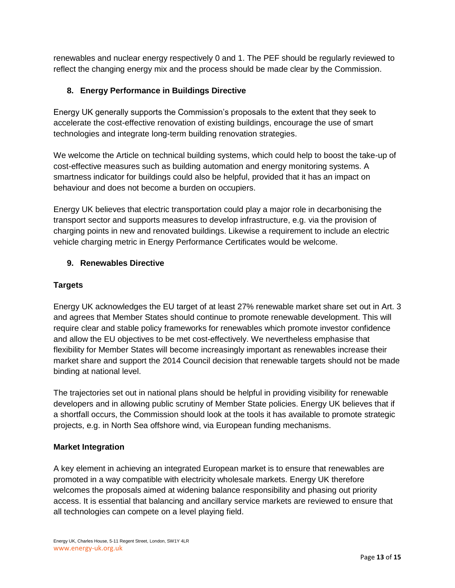renewables and nuclear energy respectively 0 and 1. The PEF should be regularly reviewed to reflect the changing energy mix and the process should be made clear by the Commission.

# **8. Energy Performance in Buildings Directive**

Energy UK generally supports the Commission's proposals to the extent that they seek to accelerate the cost-effective renovation of existing buildings, encourage the use of smart technologies and integrate long-term building renovation strategies.

We welcome the Article on technical building systems, which could help to boost the take-up of cost-effective measures such as building automation and energy monitoring systems. A smartness indicator for buildings could also be helpful, provided that it has an impact on behaviour and does not become a burden on occupiers.

Energy UK believes that electric transportation could play a major role in decarbonising the transport sector and supports measures to develop infrastructure, e.g. via the provision of charging points in new and renovated buildings. Likewise a requirement to include an electric vehicle charging metric in Energy Performance Certificates would be welcome.

#### **9. Renewables Directive**

#### **Targets**

Energy UK acknowledges the EU target of at least 27% renewable market share set out in Art. 3 and agrees that Member States should continue to promote renewable development. This will require clear and stable policy frameworks for renewables which promote investor confidence and allow the EU objectives to be met cost-effectively. We nevertheless emphasise that flexibility for Member States will become increasingly important as renewables increase their market share and support the 2014 Council decision that renewable targets should not be made binding at national level.

The trajectories set out in national plans should be helpful in providing visibility for renewable developers and in allowing public scrutiny of Member State policies. Energy UK believes that if a shortfall occurs, the Commission should look at the tools it has available to promote strategic projects, e.g. in North Sea offshore wind, via European funding mechanisms.

#### **Market Integration**

A key element in achieving an integrated European market is to ensure that renewables are promoted in a way compatible with electricity wholesale markets. Energy UK therefore welcomes the proposals aimed at widening balance responsibility and phasing out priority access. It is essential that balancing and ancillary service markets are reviewed to ensure that all technologies can compete on a level playing field.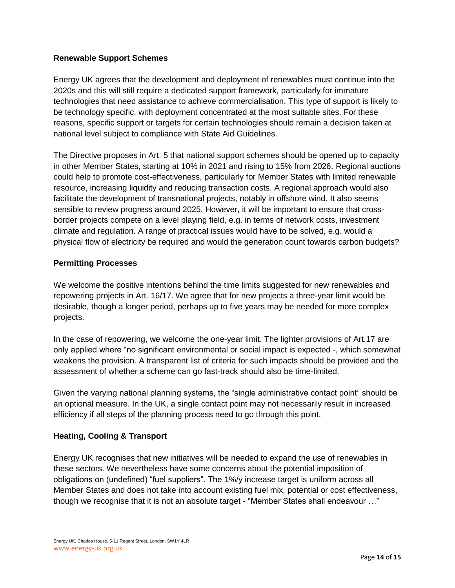#### **Renewable Support Schemes**

Energy UK agrees that the development and deployment of renewables must continue into the 2020s and this will still require a dedicated support framework, particularly for immature technologies that need assistance to achieve commercialisation. This type of support is likely to be technology specific, with deployment concentrated at the most suitable sites. For these reasons, specific support or targets for certain technologies should remain a decision taken at national level subject to compliance with State Aid Guidelines.

The Directive proposes in Art. 5 that national support schemes should be opened up to capacity in other Member States, starting at 10% in 2021 and rising to 15% from 2026. Regional auctions could help to promote cost-effectiveness, particularly for Member States with limited renewable resource, increasing liquidity and reducing transaction costs. A regional approach would also facilitate the development of transnational projects, notably in offshore wind. It also seems sensible to review progress around 2025. However, it will be important to ensure that crossborder projects compete on a level playing field, e.g. in terms of network costs, investment climate and regulation. A range of practical issues would have to be solved, e.g. would a physical flow of electricity be required and would the generation count towards carbon budgets?

#### **Permitting Processes**

We welcome the positive intentions behind the time limits suggested for new renewables and repowering projects in Art. 16/17. We agree that for new projects a three-year limit would be desirable, though a longer period, perhaps up to five years may be needed for more complex projects.

In the case of repowering, we welcome the one-year limit. The lighter provisions of Art.17 are only applied where "no significant environmental or social impact is expected -, which somewhat weakens the provision. A transparent list of criteria for such impacts should be provided and the assessment of whether a scheme can go fast-track should also be time-limited.

Given the varying national planning systems, the "single administrative contact point" should be an optional measure. In the UK, a single contact point may not necessarily result in increased efficiency if all steps of the planning process need to go through this point.

# **Heating, Cooling & Transport**

Energy UK recognises that new initiatives will be needed to expand the use of renewables in these sectors. We nevertheless have some concerns about the potential imposition of obligations on (undefined) "fuel suppliers". The 1%/y increase target is uniform across all Member States and does not take into account existing fuel mix, potential or cost effectiveness, though we recognise that it is not an absolute target - "Member States shall endeavour …"